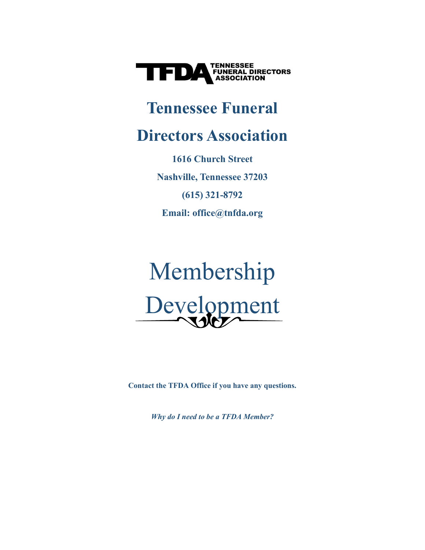

# **Tennessee Funeral**

# **Directors Association**

**1616 Church Street Nashville, Tennessee 37203 (615) 321-8792 Email: office@tnfda.org**

# Membership Development

**Contact the TFDA Office if you have any questions.** 

*Why do I need to be a TFDA Member?*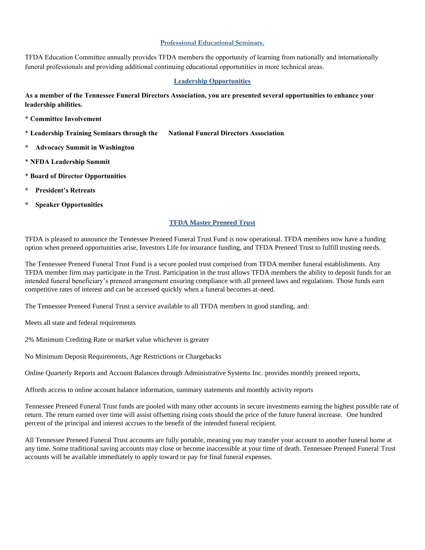#### **Professional Educational Seminars.**

TFDA Education Committee annually provides TFDA members the opportunity of learning from nationally and internationally funeral professionals and providing additional continuing educational opportunities in more technical areas.

#### **Leadership Opportunities**

**As a member of the Tennessee Funeral Directors Association, you are presented several opportunities to enhance your leadership abilities.**

- \* **Committee Involvement**
- \* **Leadership Training Seminars through the National Funeral Directors Association**
- **\* Advocacy Summit in Washington**
- \* **NFDA Leadership Summit**
- \* **Board of Director Opportunities**
- **\* President's Retreats**
- **Speaker Opportunities**

#### **TFDA Master Preneed Trust**

TFDA is pleased to announce the Tennessee Preneed Funeral Trust Fund is now operational. TFDA members now have a funding option when preneed opportunities arise, Investors Life for insurance funding, and TFDA Preneed Trust to fulfill trusting needs.

The Tennessee Preneed Funeral Trust Fund is a secure pooled trust comprised from TFDA member funeral establishments. Any TFDA member firm may participate in the Trust. Participation in the trust allows TFDA members the ability to deposit funds for an intended funeral beneficiary's preneed arrangement ensuring compliance with all preneed laws and regulations. Those funds earn competitive rates of interest and can be accessed quickly when a funeral becomes at-need.

The Tennessee Preneed Funeral Trust a service available to all TFDA members in good standing, and:

Meets all state and federal requirements

2% Minimum Crediting Rate or market value whichever is greater

No Minimum Deposit Requirements, Age Restrictions or Chargebacks

Online Quarterly Reports and Account Balances through Administrative Systems Inc. provides monthly preneed reports,

Affords access to online account balance information, summary statements and monthly activity reports

Tennessee Preneed Funeral Trust funds are pooled with many other accounts in secure investments earning the highest possible rate of return. The return earned over time will assist offsetting rising costs should the price of the future funeral increase. One hundred percent of the principal and interest accrues to the benefit of the intended funeral recipient.

All Tennessee Preneed Funeral Trust accounts are fully portable, meaning you may transfer your account to another funeral home at any time. Some traditional saving accounts may close or become inaccessible at your time of death. Tennessee Preneed Funeral Trust accounts will be available immediately to apply toward or pay for final funeral expenses.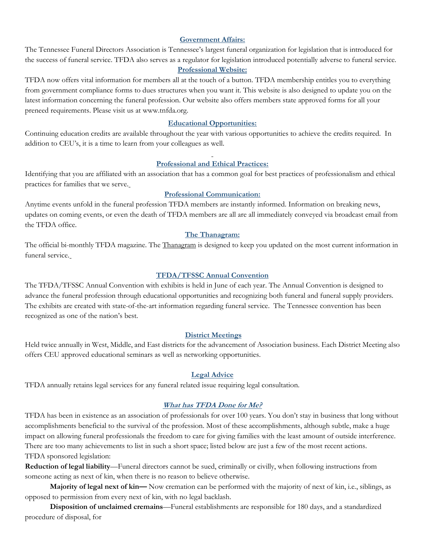# **Government Affairs:**

The Tennessee Funeral Directors Association is Tennessee's largest funeral organization for legislation that is introduced for the success of funeral service. TFDA also serves as a regulator for legislation introduced potentially adverse to funeral service. **Professional Website:**

TFDA now offers vital information for members all at the touch of a button. TFDA membership entitles you to everything from government compliance forms to dues structures when you want it. This website is also designed to update you on the latest information concerning the funeral profession. Our website also offers members state approved forms for all your preneed requirements. Please visit us at www.tnfda.org.

### **Educational Opportunities:**

Continuing education credits are available throughout the year with various opportunities to achieve the credits required. In addition to CEU's, it is a time to learn from your colleagues as well.

#### **Professional and Ethical Practices:**

Identifying that you are affiliated with an association that has a common goal for best practices of professionalism and ethical practices for families that we serve.

#### **Professional Communication:**

Anytime events unfold in the funeral profession TFDA members are instantly informed. Information on breaking news, updates on coming events, or even the death of TFDA members are all are all immediately conveyed via broadcast email from the TFDA office.

#### **The Thanagram:**

The official bi-monthly TFDA magazine. The Thanagram is designed to keep you updated on the most current information in funeral service.

### **TFDA/TFSSC Annual Convention**

The TFDA/TFSSC Annual Convention with exhibits is held in June of each year. The Annual Convention is designed to advance the funeral profession through educational opportunities and recognizing both funeral and funeral supply providers. The exhibits are created with state-of-the-art information regarding funeral service. The Tennessee convention has been recognized as one of the nation's best.

#### **District Meetings**

Held twice annually in West, Middle, and East districts for the advancement of Association business. Each District Meeting also offers CEU approved educational seminars as well as networking opportunities.

#### **Legal Advice**

TFDA annually retains legal services for any funeral related issue requiring legal consultation.

## **What has TFDA Done for Me?**

TFDA has been in existence as an association of professionals for over 100 years. You don't stay in business that long without accomplishments beneficial to the survival of the profession. Most of these accomplishments, although subtle, make a huge impact on allowing funeral professionals the freedom to care for giving families with the least amount of outside interference. There are too many achievements to list in such a short space; listed below are just a few of the most recent actions. TFDA sponsored legislation:

**Reduction of legal liability**—Funeral directors cannot be sued, criminally or civilly, when following instructions from someone acting as next of kin, when there is no reason to believe otherwise.

**Majority of legal next of kin—** Now cremation can be performed with the majority of next of kin, i.e., siblings, as opposed to permission from every next of kin, with no legal backlash.

**Disposition of unclaimed cremains**—Funeral establishments are responsible for 180 days, and a standardized procedure of disposal, for